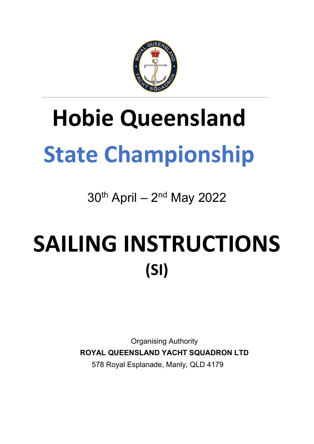

# **Hobie Queensland State Championship**

 $30<sup>th</sup>$  April –  $2<sup>nd</sup>$  May 2022

# SAILING INSTRUCTIONS **(SI)**

Organising Authority **ROYAL QUEENSLAND YACHT SQUADRON LTD** 578 Royal Esplanade, Manly, QLD 4179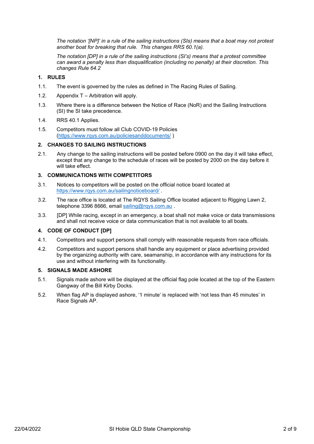*The notation '[NP]' in a rule of the sailing instructions (SIs) means that a boat may not protest another boat for breaking that rule. This changes RRS 60.1(a).* 

*The notation [DP] in a rule of the sailing instructions (SI's) means that a protest committee can award a penalty less than disqualification (including no penalty) at their discretion. This changes Rule 64.2*

#### **1. RULES**

- 1.1. The event is governed by the rules as defined in The Racing Rules of Sailing.
- 1.2. Appendix T Arbitration will apply.
- 1.3. Where there is a difference between the Notice of Race (NoR) and the Sailing Instructions (SI) the SI take precedence.
- 1.4. RRS 40.1 Applies.
- 1.5. Competitors must follow all Club COVID-19 Policies [\(https://www.rqys.com.au/policiesanddocuments/](https://www.rqys.com.au/policiesanddocuments/) )

#### **2. CHANGES TO SAILING INSTRUCTIONS**

2.1. Any change to the sailing instructions will be posted before 0900 on the day it will take effect, except that any change to the schedule of races will be posted by 2000 on the day before it will take effect.

#### **3. COMMUNICATIONS WITH COMPETITORS**

- 3.1. Notices to competitors will be posted on the official notice board located at <https://www.rqys.com.au/sailingnoticeboard/> .
- 3.2. The race office is located at The RQYS Sailing Office located adjacent to Rigging Lawn 2, telephone 3396 8666, email [sailing@rqys.com.au](mailto:sailing@rqys.com.au).
- 3.3. [DP] While racing, except in an emergency, a boat shall not make voice or data transmissions and shall not receive voice or data communication that is not available to all boats.

#### **4. CODE OF CONDUCT [DP]**

- 4.1. Competitors and support persons shall comply with reasonable requests from race officials.
- 4.2. Competitors and support persons shall handle any equipment or place advertising provided by the organizing authority with care, seamanship, in accordance with any instructions for its use and without interfering with its functionality.

#### **5. SIGNALS MADE ASHORE**

- 5.1. Signals made ashore will be displayed at the official flag pole located at the top of the Eastern Gangway of the Bill Kirby Docks.
- 5.2. When flag AP is displayed ashore, '1 minute' is replaced with 'not less than 45 minutes' in Race Signals AP.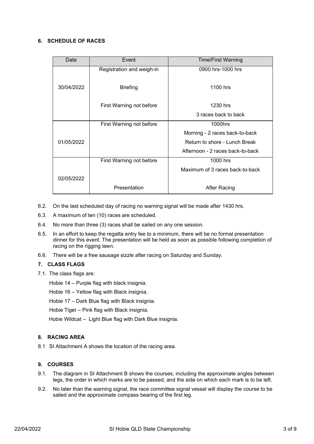#### **6. SCHEDULE OF RACES**

| Date       | Event                     | <b>Time/First Warning</b>        |  |  |  |
|------------|---------------------------|----------------------------------|--|--|--|
|            | Registration and weigh-in | 0900 hrs-1000 hrs                |  |  |  |
|            |                           |                                  |  |  |  |
| 30/04/2022 | <b>Briefing</b>           | 1100 hrs                         |  |  |  |
|            |                           |                                  |  |  |  |
|            | First Warning not before  | 1230 hrs                         |  |  |  |
|            |                           | 3 races back to back             |  |  |  |
|            | First Warning not before  | 1000hrs                          |  |  |  |
|            |                           | Morning - 2 races back-to-back   |  |  |  |
| 01/05/2022 |                           | Return to shore - Lunch Break    |  |  |  |
|            |                           | Afternoon - 2 races back-to-back |  |  |  |
|            | First Warning not before  | 1000 hrs                         |  |  |  |
|            |                           | Maximum of 3 races back-to-back  |  |  |  |
| 02/05/2022 |                           |                                  |  |  |  |
|            | Presentation              | <b>After Racing</b>              |  |  |  |

- 6.2. On the last scheduled day of racing no warning signal will be made after 1430 hrs.
- 6.3. A maximum of ten (10) races are scheduled.
- 6.4. No more than three (3) races shall be sailed on any one session.
- 6.5. In an effort to keep the regatta entry fee to a minimum, there will be no formal presentation dinner for this event. The presentation will be held as soon as possible following completion of racing on the rigging lawn.
- 6.6. There will be a free sausage sizzle after racing on Saturday and Sunday.

#### **7. CLASS FLAGS**

7.1. The class flags are:

Hobie 14 – Purple flag with black insignia.

Hobie 16 – Yellow flag with Black insignia.

Hobie 17 – Dark Blue flag with Black insignia.

Hobie Tiger – Pink flag with Black insignia.

Hobie Wildcat – Light Blue flag with Dark Blue insignia.

#### **8. RACING AREA**

8.1 SI Attachment A shows the location of the racing area.

#### **9. COURSES**

- 9.1. The diagram in SI Attachment B shows the courses, including the approximate angles between legs, the order in which marks are to be passed, and the side on which each mark is to be left.
- 9.2. No later than the warning signal, the race committee signal vessel will display the course to be sailed and the approximate compass bearing of the first leg.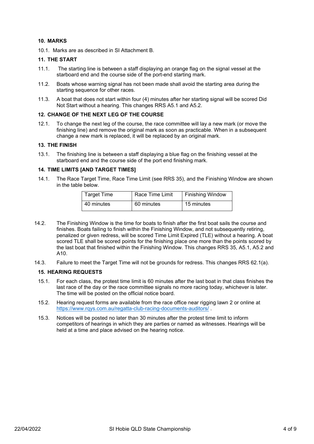#### **10. MARKS**

10.1. Marks are as described in SI Attachment B.

#### **11. THE START**

- 11.1. The starting line is between a staff displaying an orange flag on the signal vessel at the starboard end and the course side of the port-end starting mark.
- 11.2. Boats whose warning signal has not been made shall avoid the starting area during the starting sequence for other races.
- 11.3. A boat that does not start within four (4) minutes after her starting signal will be scored Did Not Start without a hearing. This changes RRS A5.1 and A5.2.

#### **12. CHANGE OF THE NEXT LEG OF THE COURSE**

12.1. To change the next leg of the course, the race committee will lay a new mark (or move the finishing line) and remove the original mark as soon as practicable. When in a subsequent change a new mark is replaced, it will be replaced by an original mark.

#### **13. THE FINISH**

13.1. The finishing line is between a staff displaying a blue flag on the finishing vessel at the starboard end and the course side of the port end finishing mark.

#### **14. TIME LIMITS [AND TARGET TIMES]**

14.1. The Race Target Time, Race Time Limit (see RRS 35), and the Finishing Window are shown in the table below.

| <b>Target Time</b> | Race Time Limit | <b>Finishing Window</b> |  |  |  |
|--------------------|-----------------|-------------------------|--|--|--|
| 40 minutes         | 60 minutes      | 15 minutes              |  |  |  |

- 14.2. The Finishing Window is the time for boats to finish after the first boat sails the course and finishes. Boats failing to finish within the Finishing Window, and not subsequently retiring, penalized or given redress, will be scored Time Limit Expired (TLE) without a hearing. A boat scored TLE shall be scored points for the finishing place one more than the points scored by the last boat that finished within the Finishing Window. This changes RRS 35, A5.1, A5.2 and A10.
- 14.3. Failure to meet the Target Time will not be grounds for redress. This changes RRS 62.1(a).

#### **15. HEARING REQUESTS**

- 15.1. For each class, the protest time limit is 60 minutes after the last boat in that class finishes the last race of the day or the race committee signals no more racing today, whichever is later. The time will be posted on the official notice board.
- 15.2. Hearing request forms are available from the race office near rigging lawn 2 or online at <https://www.rqys.com.au/regatta-club-racing-documents-auditors/> .
- 15.3. Notices will be posted no later than 30 minutes after the protest time limit to inform competitors of hearings in which they are parties or named as witnesses. Hearings will be held at a time and place advised on the hearing notice.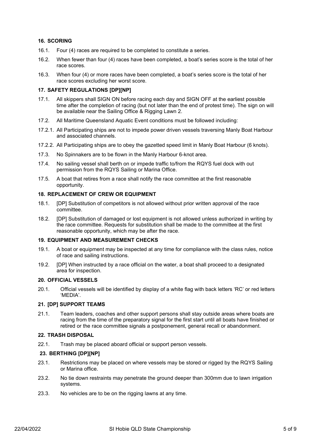#### **16. SCORING**

- 16.1. Four (4) races are required to be completed to constitute a series.
- 16.2. When fewer than four (4) races have been completed, a boat's series score is the total of her race scores.
- 16.3. When four (4) or more races have been completed, a boat's series score is the total of her race scores excluding her worst score.

#### **17. SAFETY REGULATIONS [DP][NP]**

- 17.1. All skippers shall SIGN ON before racing each day and SIGN OFF at the earliest possible time after the completion of racing (but not later than the end of protest time). The sign on will be available near the Sailing Office & Rigging Lawn 2.
- 17.2. All Maritime Queensland Aquatic Event conditions must be followed including:
- 17.2.1. All Participating ships are not to impede power driven vessels traversing Manly Boat Harbour and associated channels.
- 17.2.2. All Participating ships are to obey the gazetted speed limit in Manly Boat Harbour (6 knots).
- 17.3. No Spinnakers are to be flown in the Manly Harbour 6-knot area.
- 17.4. No sailing vessel shall berth on or impede traffic to/from the RQYS fuel dock with out permission from the RQYS Sailing or Marina Office.
- 17.5. A boat that retires from a race shall notify the race committee at the first reasonable opportunity.

#### **18. REPLACEMENT OF CREW OR EQUIPMENT**

- 18.1. [DP] Substitution of competitors is not allowed without prior written approval of the race committee.
- 18.2. [DP] Substitution of damaged or lost equipment is not allowed unless authorized in writing by the race committee. Requests for substitution shall be made to the committee at the first reasonable opportunity, which may be after the race.

#### **19. EQUIPMENT AND MEASUREMENT CHECKS**

- 19.1. A boat or equipment may be inspected at any time for compliance with the class rules, notice of race and sailing instructions.
- 19.2. [DP] When instructed by a race official on the water, a boat shall proceed to a designated area for inspection.

#### **20. OFFICIAL VESSELS**

20.1. Official vessels will be identified by display of a white flag with back letters 'RC' or red letters 'MEDIA'.

#### **21. [DP] SUPPORT TEAMS**

21.1. Team leaders, coaches and other support persons shall stay outside areas where boats are racing from the time of the preparatory signal for the first start until all boats have finished or retired or the race committee signals a postponement, general recall or abandonment.

#### **22. TRASH DISPOSAL**

22.1. Trash may be placed aboard official or support person vessels.

#### **23. BERTHING [DP][NP]**

- 23.1. Restrictions may be placed on where vessels may be stored or rigged by the RQYS Sailing or Marina office.
- 23.2. No tie down restraints may penetrate the ground deeper than 300mm due to lawn irrigation systems.
- 23.3. No vehicles are to be on the rigging lawns at any time.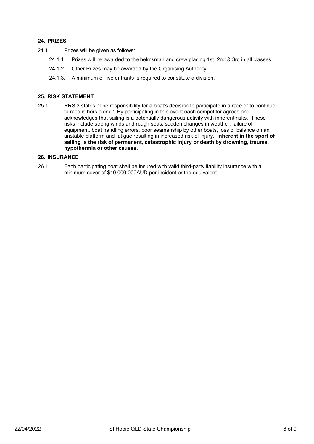#### **24. PRIZES**

- 24.1. Prizes will be given as follows:
	- 24.1.1. Prizes will be awarded to the helmsman and crew placing 1st, 2nd & 3rd in all classes.
	- 24.1.2. Other Prizes may be awarded by the Organising Authority.
	- 24.1.3. A minimum of five entrants is required to constitute a division.

#### **25. RISK STATEMENT**

25.1. RRS 3 states: 'The responsibility for a boat's decision to participate in a race or to continue to race is hers alone.' By participating in this event each competitor agrees and acknowledges that sailing is a potentially dangerous activity with inherent risks. These risks include strong winds and rough seas, sudden changes in weather, failure of equipment, boat handling errors, poor seamanship by other boats, loss of balance on an unstable platform and fatigue resulting in increased risk of injury. **Inherent in the sport of sailing is the risk of permanent, catastrophic injury or death by drowning, trauma, hypothermia or other causes.**

#### **26. INSURANCE**

26.1. Each participating boat shall be insured with valid third-party liability insurance with a minimum cover of \$10,000,000AUD per incident or the equivalent.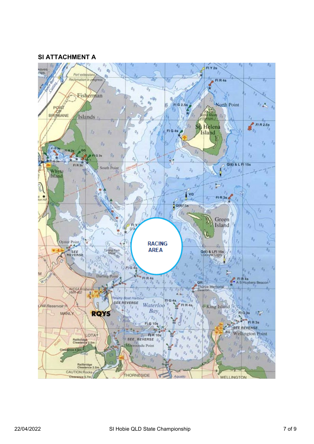### **SI ATTACHMENT A**

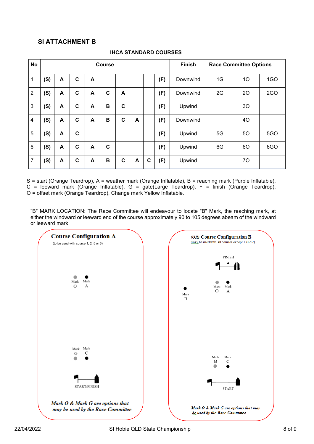## **SI ATTACHMENT B**

| <b>No</b>      | <b>Course</b> |   |   |   |             |             |   |   |     | <b>Finish</b> | <b>Race Committee Options</b> |    |            |
|----------------|---------------|---|---|---|-------------|-------------|---|---|-----|---------------|-------------------------------|----|------------|
| 1              | (S)           | A | C | A |             |             |   |   | (F) | Downwind      | 1G                            | 10 | 1GO        |
| $\overline{2}$ | (S)           | A | C | A | C           | A           |   |   | (F) | Downwind      | 2G                            | 20 | 2GO        |
| 3              | (S)           | A | C | A | B           | C           |   |   | (F) | Upwind        |                               | 30 |            |
| 4              | (S)           | A | C | A | B           | C           | A |   | (F) | Downwind      |                               | 40 |            |
| 5              | (S)           | A | C |   |             |             |   |   | (F) | Upwind        | 5G                            | 50 | <b>5GO</b> |
| 6              | (S)           | A | C | A | $\mathbf c$ |             |   |   | (F) | Upwind        | 6G                            | 60 | 6GO        |
| 7              | (S)           | A | C | A | B           | $\mathbf c$ | A | C | (F) | Upwind        |                               | 70 |            |

#### **IHCA STANDARD COURSES**

S = start (Orange Teardrop), A = weather mark (Orange Inflatable), B = reaching mark (Purple Inflatable),  $C =$  leeward mark (Orange Inflatable),  $G =$  gate(Large Teardrop),  $F =$  finish (Orange Teardrop), O = offset mark (Orange Teardrop), Change mark Yellow Inflatable.

"B" MARK LOCATION: The Race Committee will endeavour to locate "B" Mark, the reaching mark, at either the windward or leeward end of the course approximately 90 to 105 degrees abeam of the windward or leeward mark.